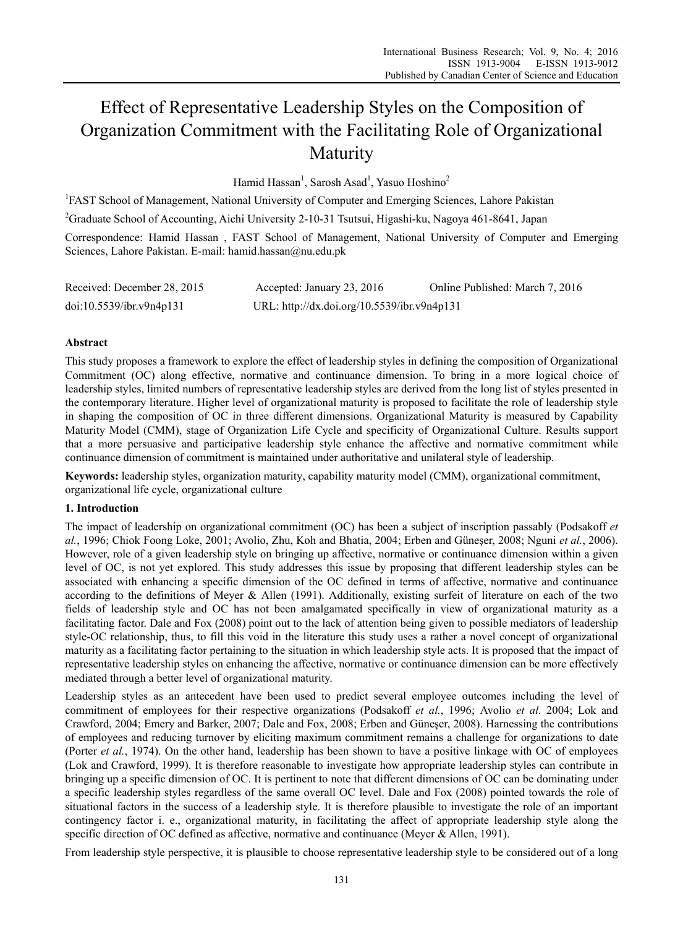# Effect of Representative Leadership Styles on the Composition of Organization Commitment with the Facilitating Role of Organizational Maturity

Hamid Hassan<sup>1</sup>, Sarosh Asad<sup>1</sup>, Yasuo Hoshino<sup>2</sup>

<sup>1</sup>FAST School of Management, National University of Computer and Emerging Sciences, Lahore Pakistan

<sup>2</sup>Graduate School of Accounting, Aichi University 2-10-31 Tsutsui, Higashi-ku, Nagoya 461-8641, Japan

Correspondence: Hamid Hassan , FAST School of Management, National University of Computer and Emerging Sciences, Lahore Pakistan. E-mail: hamid.hassan@nu.edu.pk

| Received: December 28, 2015 | Accepted: January 23, 2016                  | Online Published: March 7, 2016 |
|-----------------------------|---------------------------------------------|---------------------------------|
| doi:10.5539/ibr.v9n4p131    | URL: http://dx.doi.org/10.5539/ibr.v9n4p131 |                                 |

## **Abstract**

This study proposes a framework to explore the effect of leadership styles in defining the composition of Organizational Commitment (OC) along effective, normative and continuance dimension. To bring in a more logical choice of leadership styles, limited numbers of representative leadership styles are derived from the long list of styles presented in the contemporary literature. Higher level of organizational maturity is proposed to facilitate the role of leadership style in shaping the composition of OC in three different dimensions. Organizational Maturity is measured by Capability Maturity Model (CMM), stage of Organization Life Cycle and specificity of Organizational Culture. Results support that a more persuasive and participative leadership style enhance the affective and normative commitment while continuance dimension of commitment is maintained under authoritative and unilateral style of leadership.

**Keywords:** leadership styles, organization maturity, capability maturity model (CMM), organizational commitment, organizational life cycle, organizational culture

# **1. Introduction**

The impact of leadership on organizational commitment (OC) has been a subject of inscription passably (Podsakoff *et al.*, 1996; Chiok Foong Loke, 2001; Avolio, Zhu, Koh and Bhatia, 2004; Erben and Güneşer, 2008; Nguni *et al.*, 2006). However, role of a given leadership style on bringing up affective, normative or continuance dimension within a given level of OC, is not yet explored. This study addresses this issue by proposing that different leadership styles can be associated with enhancing a specific dimension of the OC defined in terms of affective, normative and continuance according to the definitions of Meyer & Allen (1991). Additionally, existing surfeit of literature on each of the two fields of leadership style and OC has not been amalgamated specifically in view of organizational maturity as a facilitating factor. Dale and Fox (2008) point out to the lack of attention being given to possible mediators of leadership style-OC relationship, thus, to fill this void in the literature this study uses a rather a novel concept of organizational maturity as a facilitating factor pertaining to the situation in which leadership style acts. It is proposed that the impact of representative leadership styles on enhancing the affective, normative or continuance dimension can be more effectively mediated through a better level of organizational maturity.

Leadership styles as an antecedent have been used to predict several employee outcomes including the level of commitment of employees for their respective organizations (Podsakoff *et al.*, 1996; Avolio *et al.* 2004; Lok and Crawford, 2004; Emery and Barker, 2007; Dale and Fox, 2008; Erben and Güneşer, 2008). Harnessing the contributions of employees and reducing turnover by eliciting maximum commitment remains a challenge for organizations to date (Porter *et al.*, 1974). On the other hand, leadership has been shown to have a positive linkage with OC of employees (Lok and Crawford, 1999). It is therefore reasonable to investigate how appropriate leadership styles can contribute in bringing up a specific dimension of OC. It is pertinent to note that different dimensions of OC can be dominating under a specific leadership styles regardless of the same overall OC level. Dale and Fox (2008) pointed towards the role of situational factors in the success of a leadership style. It is therefore plausible to investigate the role of an important contingency factor i. e., organizational maturity, in facilitating the affect of appropriate leadership style along the specific direction of OC defined as affective, normative and continuance (Meyer & Allen, 1991).

From leadership style perspective, it is plausible to choose representative leadership style to be considered out of a long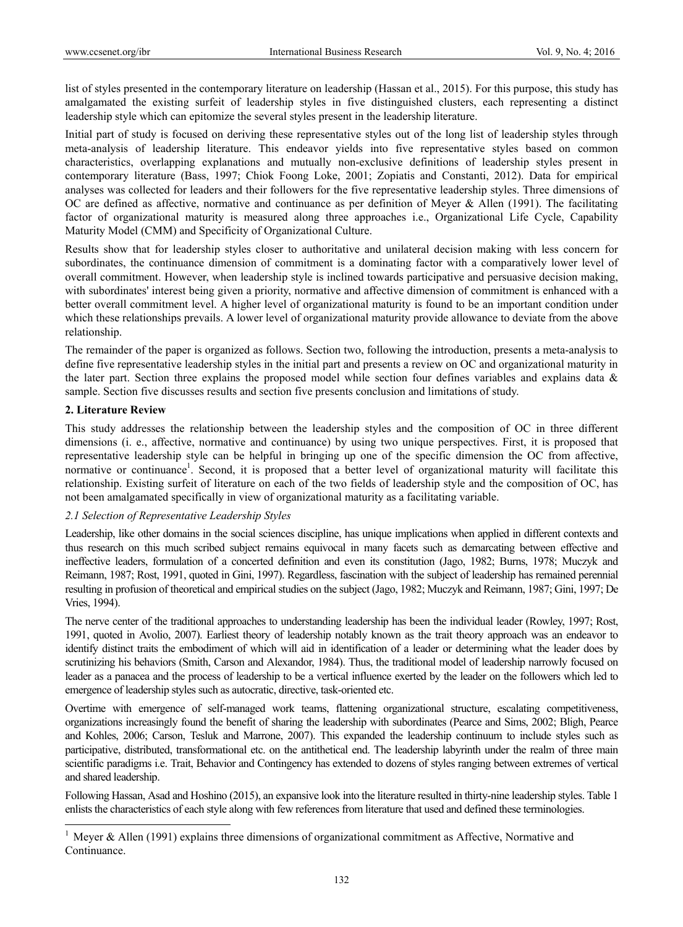list of styles presented in the contemporary literature on leadership (Hassan et al., 2015). For this purpose, this study has amalgamated the existing surfeit of leadership styles in five distinguished clusters, each representing a distinct leadership style which can epitomize the several styles present in the leadership literature.

Initial part of study is focused on deriving these representative styles out of the long list of leadership styles through meta-analysis of leadership literature. This endeavor yields into five representative styles based on common characteristics, overlapping explanations and mutually non-exclusive definitions of leadership styles present in contemporary literature (Bass, 1997; Chiok Foong Loke, 2001; Zopiatis and Constanti, 2012). Data for empirical analyses was collected for leaders and their followers for the five representative leadership styles. Three dimensions of OC are defined as affective, normative and continuance as per definition of Meyer & Allen (1991). The facilitating factor of organizational maturity is measured along three approaches i.e., Organizational Life Cycle, Capability Maturity Model (CMM) and Specificity of Organizational Culture.

Results show that for leadership styles closer to authoritative and unilateral decision making with less concern for subordinates, the continuance dimension of commitment is a dominating factor with a comparatively lower level of overall commitment. However, when leadership style is inclined towards participative and persuasive decision making, with subordinates' interest being given a priority, normative and affective dimension of commitment is enhanced with a better overall commitment level. A higher level of organizational maturity is found to be an important condition under which these relationships prevails. A lower level of organizational maturity provide allowance to deviate from the above relationship.

The remainder of the paper is organized as follows. Section two, following the introduction, presents a meta-analysis to define five representative leadership styles in the initial part and presents a review on OC and organizational maturity in the later part. Section three explains the proposed model while section four defines variables and explains data & sample. Section five discusses results and section five presents conclusion and limitations of study.

#### **2. Literature Review**

 $\overline{a}$ 

This study addresses the relationship between the leadership styles and the composition of OC in three different dimensions (i. e., affective, normative and continuance) by using two unique perspectives. First, it is proposed that representative leadership style can be helpful in bringing up one of the specific dimension the OC from affective, normative or continuance<sup>1</sup>. Second, it is proposed that a better level of organizational maturity will facilitate this relationship. Existing surfeit of literature on each of the two fields of leadership style and the composition of OC, has not been amalgamated specifically in view of organizational maturity as a facilitating variable.

#### *2.1 Selection of Representative Leadership Styles*

Leadership, like other domains in the social sciences discipline, has unique implications when applied in different contexts and thus research on this much scribed subject remains equivocal in many facets such as demarcating between effective and ineffective leaders, formulation of a concerted definition and even its constitution (Jago, 1982; Burns, 1978; Muczyk and Reimann, 1987; Rost, 1991, quoted in Gini, 1997). Regardless, fascination with the subject of leadership has remained perennial resulting in profusion of theoretical and empirical studies on the subject (Jago, 1982; Muczyk and Reimann, 1987; Gini, 1997; De Vries, 1994).

The nerve center of the traditional approaches to understanding leadership has been the individual leader (Rowley, 1997; Rost, 1991, quoted in Avolio, 2007). Earliest theory of leadership notably known as the trait theory approach was an endeavor to identify distinct traits the embodiment of which will aid in identification of a leader or determining what the leader does by scrutinizing his behaviors (Smith, Carson and Alexandor, 1984). Thus, the traditional model of leadership narrowly focused on leader as a panacea and the process of leadership to be a vertical influence exerted by the leader on the followers which led to emergence of leadership styles such as autocratic, directive, task-oriented etc.

Overtime with emergence of self-managed work teams, flattening organizational structure, escalating competitiveness, organizations increasingly found the benefit of sharing the leadership with subordinates (Pearce and Sims, 2002; Bligh, Pearce and Kohles, 2006; Carson, Tesluk and Marrone, 2007). This expanded the leadership continuum to include styles such as participative, distributed, transformational etc. on the antithetical end. The leadership labyrinth under the realm of three main scientific paradigms i.e. Trait, Behavior and Contingency has extended to dozens of styles ranging between extremes of vertical and shared leadership.

Following Hassan, Asad and Hoshino (2015), an expansive look into the literature resulted in thirty-nine leadership styles. Table 1 enlists the characteristics of each style along with few references from literature that used and defined these terminologies.

<sup>1</sup> Meyer & Allen (1991) explains three dimensions of organizational commitment as Affective, Normative and Continuance.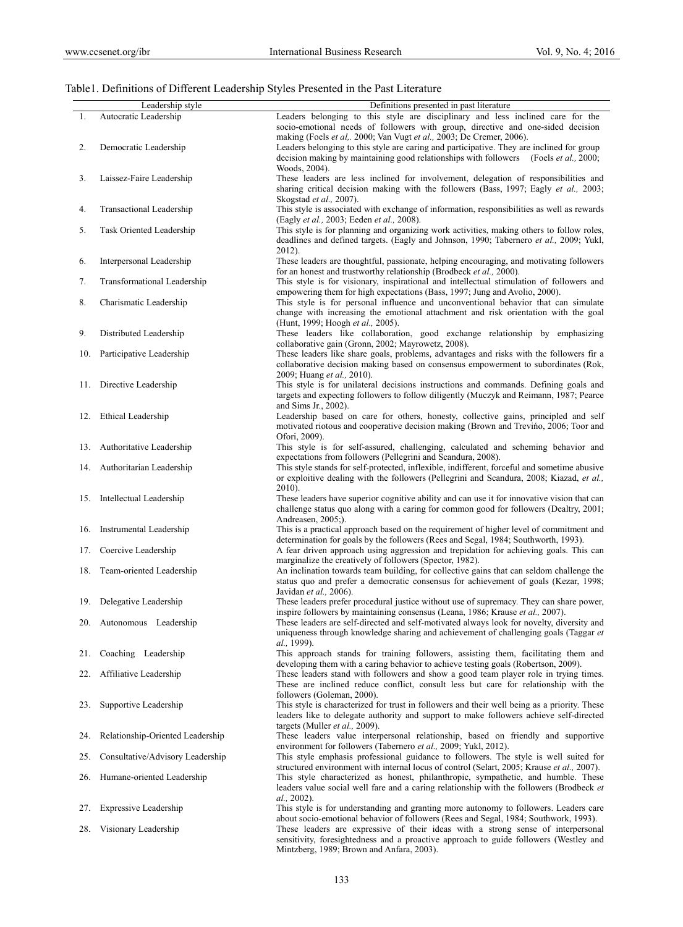# Table1. Definitions of Different Leadership Styles Presented in the Past Literature

|     | Leadership style                 | Definitions presented in past literature                                                                                                                                                                                                   |
|-----|----------------------------------|--------------------------------------------------------------------------------------------------------------------------------------------------------------------------------------------------------------------------------------------|
| 1.  | Autocratic Leadership            | Leaders belonging to this style are disciplinary and less inclined care for the<br>socio-emotional needs of followers with group, directive and one-sided decision<br>making (Foels et al., 2000; Van Vugt et al., 2003; De Cremer, 2006). |
| 2.  | Democratic Leadership            | Leaders belonging to this style are caring and participative. They are inclined for group<br>decision making by maintaining good relationships with followers (Foels et al., 2000;<br>Woods, 2004).                                        |
| 3.  | Laissez-Faire Leadership         | These leaders are less inclined for involvement, delegation of responsibilities and<br>sharing critical decision making with the followers (Bass, 1997; Eagly <i>et al.</i> , 2003;<br>Skogstad et al., 2007).                             |
| 4.  | Transactional Leadership         | This style is associated with exchange of information, responsibilities as well as rewards<br>(Eagly <i>et al.</i> , 2003; Eeden <i>et al.</i> , 2008).                                                                                    |
| 5.  | Task Oriented Leadership         | This style is for planning and organizing work activities, making others to follow roles,<br>deadlines and defined targets. (Eagly and Johnson, 1990; Tabernero et al., 2009; Yukl,<br>2012).                                              |
| 6.  | Interpersonal Leadership         | These leaders are thoughtful, passionate, helping encouraging, and motivating followers<br>for an honest and trustworthy relationship (Brodbeck <i>et al.</i> , 2000).                                                                     |
| 7.  | Transformational Leadership      | This style is for visionary, inspirational and intellectual stimulation of followers and<br>empowering them for high expectations (Bass, 1997; Jung and Avolio, 2000).                                                                     |
| 8.  | Charismatic Leadership           | This style is for personal influence and unconventional behavior that can simulate<br>change with increasing the emotional attachment and risk orientation with the goal<br>(Hunt, 1999; Hoogh et al., 2005).                              |
| 9.  | Distributed Leadership           | These leaders like collaboration, good exchange relationship by emphasizing<br>collaborative gain (Gronn, 2002; Mayrowetz, 2008).                                                                                                          |
| 10. | Participative Leadership         | These leaders like share goals, problems, advantages and risks with the followers fir a<br>collaborative decision making based on consensus empowerment to subordinates (Rok,<br>2009; Huang et al., 2010).                                |
| 11. | Directive Leadership             | This style is for unilateral decisions instructions and commands. Defining goals and<br>targets and expecting followers to follow diligently (Muczyk and Reimann, 1987; Pearce<br>and Sims Jr., 2002).                                     |
| 12. | Ethical Leadership               | Leadership based on care for others, honesty, collective gains, principled and self<br>motivated riotous and cooperative decision making (Brown and Trevino, 2006; Toor and<br>Ofori, 2009).                                               |
| 13. | Authoritative Leadership         | This style is for self-assured, challenging, calculated and scheming behavior and<br>expectations from followers (Pellegrini and Scandura, 2008).                                                                                          |
| 14. | Authoritarian Leadership         | This style stands for self-protected, inflexible, indifferent, forceful and sometime abusive<br>or exploitive dealing with the followers (Pellegrini and Scandura, 2008; Kiazad, et al.,<br>2010).                                         |
| 15. | Intellectual Leadership          | These leaders have superior cognitive ability and can use it for innovative vision that can<br>challenge status quo along with a caring for common good for followers (Dealtry, 2001;<br>Andreasen, 2005;).                                |
| 16. | Instrumental Leadership          | This is a practical approach based on the requirement of higher level of commitment and<br>determination for goals by the followers (Rees and Segal, 1984; Southworth, 1993).                                                              |
| 17. | Coercive Leadership              | A fear driven approach using aggression and trepidation for achieving goals. This can<br>marginalize the creatively of followers (Spector, 1982).                                                                                          |
| 18. | Team-oriented Leadership         | An inclination towards team building, for collective gains that can seldom challenge the<br>status quo and prefer a democratic consensus for achievement of goals (Kezar, 1998;<br>Javidan et al., 2006).                                  |
|     | 19. Delegative Leadership        | These leaders prefer procedural justice without use of supremacy. They can share power,<br>inspire followers by maintaining consensus (Leana, 1986; Krause <i>et al.</i> , 2007).                                                          |
|     | 20. Autonomous Leadership        | These leaders are self-directed and self-motivated always look for novelty, diversity and<br>uniqueness through knowledge sharing and achievement of challenging goals (Taggar et<br>al., 1999).                                           |
| 21. | Coaching Leadership              | This approach stands for training followers, assisting them, facilitating them and<br>developing them with a caring behavior to achieve testing goals (Robertson, 2009).                                                                   |
| 22. | Affiliative Leadership           | These leaders stand with followers and show a good team player role in trying times.<br>These are inclined reduce conflict, consult less but care for relationship with the<br>followers (Goleman, 2000).                                  |
| 23. | Supportive Leadership            | This style is characterized for trust in followers and their well being as a priority. These<br>leaders like to delegate authority and support to make followers achieve self-directed<br>targets (Muller <i>et al.</i> , 2009).           |
| 24. | Relationship-Oriented Leadership | These leaders value interpersonal relationship, based on friendly and supportive<br>environment for followers (Tabernero et al., 2009; Yukl, 2012).                                                                                        |
| 25. | Consultative/Advisory Leadership | This style emphasis professional guidance to followers. The style is well suited for<br>structured environment with internal locus of control (Selart, 2005; Krause et al., 2007).                                                         |
| 26. | Humane-oriented Leadership       | This style characterized as honest, philanthropic, sympathetic, and humble. These<br>leaders value social well fare and a caring relationship with the followers (Brodbeck et<br><i>al.</i> , 2002).                                       |
| 27. | <b>Expressive Leadership</b>     | This style is for understanding and granting more autonomy to followers. Leaders care<br>about socio-emotional behavior of followers (Rees and Segal, 1984; Southwork, 1993).                                                              |
| 28. | Visionary Leadership             | These leaders are expressive of their ideas with a strong sense of interpersonal<br>sensitivity, foresightedness and a proactive approach to guide followers (Westley and<br>Mintzberg, 1989; Brown and Anfara, 2003).                     |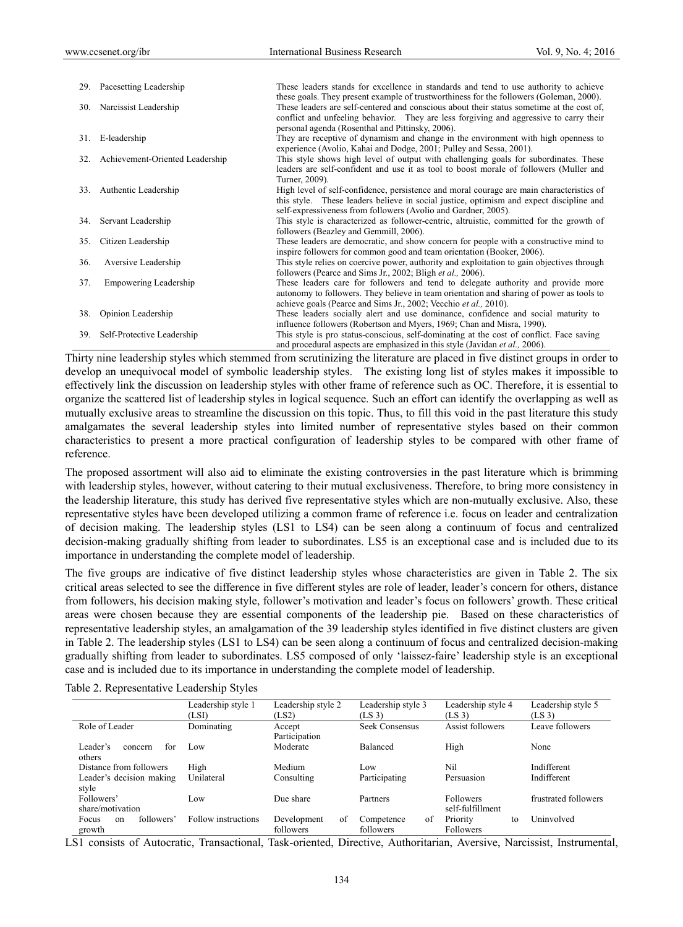|     | 29. Pacesetting Leadership      | These leaders stands for excellence in standards and tend to use authority to achieve<br>these goals. They present example of trustworthiness for the followers (Goleman, 2000).                                                                      |
|-----|---------------------------------|-------------------------------------------------------------------------------------------------------------------------------------------------------------------------------------------------------------------------------------------------------|
| 30. | Narcissist Leadership           | These leaders are self-centered and conscious about their status sometime at the cost of,<br>conflict and unfeeling behavior. They are less forgiving and aggressive to carry their<br>personal agenda (Rosenthal and Pittinsky, 2006).               |
| 31. | E-leadership                    | They are receptive of dynamism and change in the environment with high openness to<br>experience (Avolio, Kahai and Dodge, 2001; Pulley and Sessa, 2001).                                                                                             |
| 32. | Achievement-Oriented Leadership | This style shows high level of output with challenging goals for subordinates. These<br>leaders are self-confident and use it as tool to boost morale of followers (Muller and<br>Turner, 2009).                                                      |
| 33. | Authentic Leadership            | High level of self-confidence, persistence and moral courage are main characteristics of<br>this style. These leaders believe in social justice, optimism and expect discipline and<br>self-expressiveness from followers (Avolio and Gardner, 2005). |
| 34. | Servant Leadership              | This style is characterized as follower-centric, altruistic, committed for the growth of<br>followers (Beazley and Gemmill, 2006).                                                                                                                    |
| 35. | Citizen Leadership              | These leaders are democratic, and show concern for people with a constructive mind to<br>inspire followers for common good and team orientation (Booker, 2006).                                                                                       |
| 36. | Aversive Leadership             | This style relies on coercive power, authority and exploitation to gain objectives through<br>followers (Pearce and Sims Jr., 2002; Bligh <i>et al.</i> , 2006).                                                                                      |
| 37. | <b>Empowering Leadership</b>    | These leaders care for followers and tend to delegate authority and provide more<br>autonomy to followers. They believe in team orientation and sharing of power as tools to<br>achieve goals (Pearce and Sims Jr., 2002; Vecchio et al., 2010).      |
| 38. | Opinion Leadership              | These leaders socially alert and use dominance, confidence and social maturity to<br>influence followers (Robertson and Myers, 1969; Chan and Misra, 1990).                                                                                           |
| 39. | Self-Protective Leadership      | This style is pro status-conscious, self-dominating at the cost of conflict. Face saving<br>and procedural aspects are emphasized in this style (Javidan et al., 2006).                                                                               |

Thirty nine leadership styles which stemmed from scrutinizing the literature are placed in five distinct groups in order to develop an unequivocal model of symbolic leadership styles. The existing long list of styles makes it impossible to effectively link the discussion on leadership styles with other frame of reference such as OC. Therefore, it is essential to organize the scattered list of leadership styles in logical sequence. Such an effort can identify the overlapping as well as mutually exclusive areas to streamline the discussion on this topic. Thus, to fill this void in the past literature this study amalgamates the several leadership styles into limited number of representative styles based on their common characteristics to present a more practical configuration of leadership styles to be compared with other frame of reference.

The proposed assortment will also aid to eliminate the existing controversies in the past literature which is brimming with leadership styles, however, without catering to their mutual exclusiveness. Therefore, to bring more consistency in the leadership literature, this study has derived five representative styles which are non-mutually exclusive. Also, these representative styles have been developed utilizing a common frame of reference i.e. focus on leader and centralization of decision making. The leadership styles (LS1 to LS4) can be seen along a continuum of focus and centralized decision-making gradually shifting from leader to subordinates. LS5 is an exceptional case and is included due to its importance in understanding the complete model of leadership.

The five groups are indicative of five distinct leadership styles whose characteristics are given in Table 2. The six critical areas selected to see the difference in five different styles are role of leader, leader's concern for others, distance from followers, his decision making style, follower's motivation and leader's focus on followers' growth. These critical areas were chosen because they are essential components of the leadership pie. Based on these characteristics of representative leadership styles, an amalgamation of the 39 leadership styles identified in five distinct clusters are given in Table 2. The leadership styles (LS1 to LS4) can be seen along a continuum of focus and centralized decision-making gradually shifting from leader to subordinates. LS5 composed of only 'laissez-faire' leadership style is an exceptional case and is included due to its importance in understanding the complete model of leadership.

|                            | Leadership style 1  | Leadership style 2 | Leadership style 3 | Leadership style 4 | Leadership style 5   |
|----------------------------|---------------------|--------------------|--------------------|--------------------|----------------------|
|                            | (LSI)               | (LS2)              | (LS <sub>3</sub> ) | (LS <sub>3</sub> ) | (LS <sub>3</sub> )   |
| Role of Leader             | Dominating          | Accept             | Seek Consensus     | Assist followers   | Leave followers      |
|                            |                     | Participation      |                    |                    |                      |
| Leader's<br>for<br>concern | Low                 | Moderate           | <b>Balanced</b>    | High               | None                 |
| others                     |                     |                    |                    |                    |                      |
| Distance from followers    | High                | Medium             | Low                | Nil                | Indifferent          |
| Leader's decision making   | Unilateral          | Consulting         | Participating      | Persuasion         | Indifferent          |
| style                      |                     |                    |                    |                    |                      |
| Followers'                 | Low                 | Due share          | Partners           | <b>Followers</b>   | frustrated followers |
| share/motivation           |                     |                    |                    | self-fulfillment   |                      |
| followers'<br>Focus<br>on  | Follow instructions | of<br>Development  | of<br>Competence   | Priority<br>to     | Uninvolved           |
| growth                     |                     | followers          | followers          | Followers          |                      |

Table 2. Representative Leadership Styles

LS1 consists of Autocratic, Transactional, Task-oriented, Directive, Authoritarian, Aversive, Narcissist, Instrumental,

134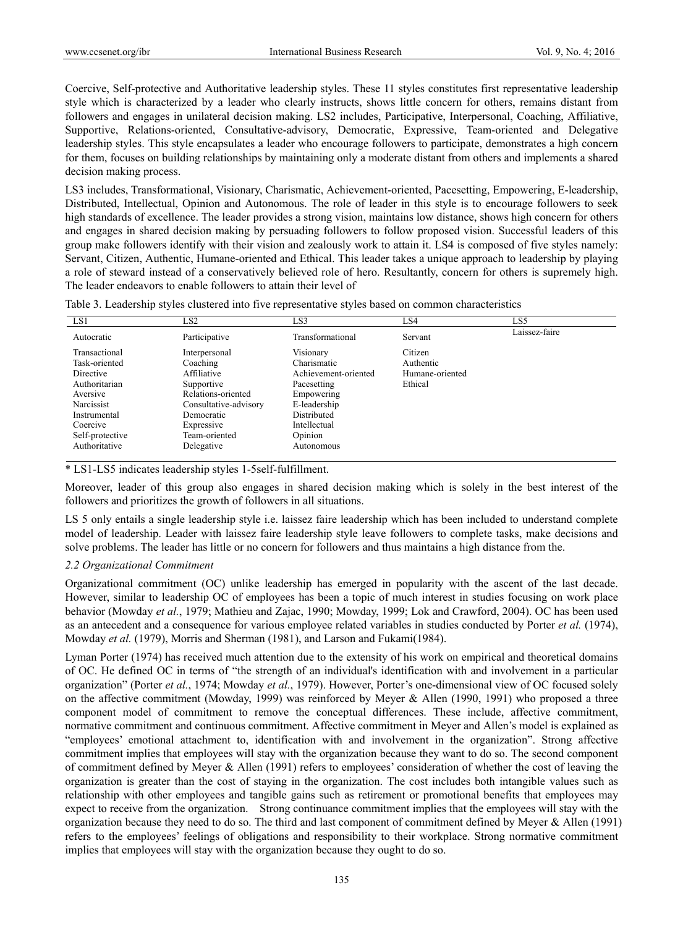Coercive, Self-protective and Authoritative leadership styles. These 11 styles constitutes first representative leadership style which is characterized by a leader who clearly instructs, shows little concern for others, remains distant from followers and engages in unilateral decision making. LS2 includes, Participative, Interpersonal, Coaching, Affiliative, Supportive, Relations-oriented, Consultative-advisory, Democratic, Expressive, Team-oriented and Delegative leadership styles. This style encapsulates a leader who encourage followers to participate, demonstrates a high concern for them, focuses on building relationships by maintaining only a moderate distant from others and implements a shared decision making process.

LS3 includes, Transformational, Visionary, Charismatic, Achievement-oriented, Pacesetting, Empowering, E-leadership, Distributed, Intellectual, Opinion and Autonomous. The role of leader in this style is to encourage followers to seek high standards of excellence. The leader provides a strong vision, maintains low distance, shows high concern for others and engages in shared decision making by persuading followers to follow proposed vision. Successful leaders of this group make followers identify with their vision and zealously work to attain it. LS4 is composed of five styles namely: Servant, Citizen, Authentic, Humane-oriented and Ethical. This leader takes a unique approach to leadership by playing a role of steward instead of a conservatively believed role of hero. Resultantly, concern for others is supremely high. The leader endeavors to enable followers to attain their level of

|  |  | Table 3. Leadership styles clustered into five representative styles based on common characteristics |
|--|--|------------------------------------------------------------------------------------------------------|
|  |  |                                                                                                      |

| LS1             | LS2                   | LS3                  | LS4             | LS5           |
|-----------------|-----------------------|----------------------|-----------------|---------------|
| Autocratic      | Participative         | Transformational     | Servant         | Laissez-faire |
| Transactional   | Interpersonal         | Visionary            | Citizen         |               |
| Task-oriented   | Coaching              | Charismatic          | Authentic       |               |
| Directive       | Affiliative           | Achievement-oriented | Humane-oriented |               |
| Authoritarian   | Supportive            | Pacesetting          | Ethical         |               |
| Aversive        | Relations-oriented    | Empowering           |                 |               |
| Narcissist      | Consultative-advisory | E-leadership         |                 |               |
| Instrumental    | Democratic            | Distributed          |                 |               |
| Coercive        | Expressive            | Intellectual         |                 |               |
| Self-protective | Team-oriented         | Opinion              |                 |               |
| Authoritative   | Delegative            | Autonomous           |                 |               |
|                 |                       |                      |                 |               |

#### \* LS1-LS5 indicates leadership styles 1-5self-fulfillment.

Moreover, leader of this group also engages in shared decision making which is solely in the best interest of the followers and prioritizes the growth of followers in all situations.

LS 5 only entails a single leadership style i.e. laissez faire leadership which has been included to understand complete model of leadership. Leader with laissez faire leadership style leave followers to complete tasks, make decisions and solve problems. The leader has little or no concern for followers and thus maintains a high distance from the.

#### *2.2 Organizational Commitment*

Organizational commitment (OC) unlike leadership has emerged in popularity with the ascent of the last decade. However, similar to leadership OC of employees has been a topic of much interest in studies focusing on work place behavior (Mowday *et al.*, 1979; Mathieu and Zajac, 1990; Mowday, 1999; Lok and Crawford, 2004). OC has been used as an antecedent and a consequence for various employee related variables in studies conducted by Porter *et al.* (1974), Mowday *et al.* (1979), Morris and Sherman (1981), and Larson and Fukami(1984).

Lyman Porter (1974) has received much attention due to the extensity of his work on empirical and theoretical domains of OC. He defined OC in terms of "the strength of an individual's identification with and involvement in a particular organization" (Porter *et al.*, 1974; Mowday *et al.*, 1979). However, Porter's one-dimensional view of OC focused solely on the affective commitment (Mowday, 1999) was reinforced by Meyer & Allen (1990, 1991) who proposed a three component model of commitment to remove the conceptual differences. These include, affective commitment, normative commitment and continuous commitment. Affective commitment in Meyer and Allen's model is explained as "employees' emotional attachment to, identification with and involvement in the organization". Strong affective commitment implies that employees will stay with the organization because they want to do so. The second component of commitment defined by Meyer & Allen (1991) refers to employees' consideration of whether the cost of leaving the organization is greater than the cost of staying in the organization. The cost includes both intangible values such as relationship with other employees and tangible gains such as retirement or promotional benefits that employees may expect to receive from the organization. Strong continuance commitment implies that the employees will stay with the organization because they need to do so. The third and last component of commitment defined by Meyer & Allen (1991) refers to the employees' feelings of obligations and responsibility to their workplace. Strong normative commitment implies that employees will stay with the organization because they ought to do so.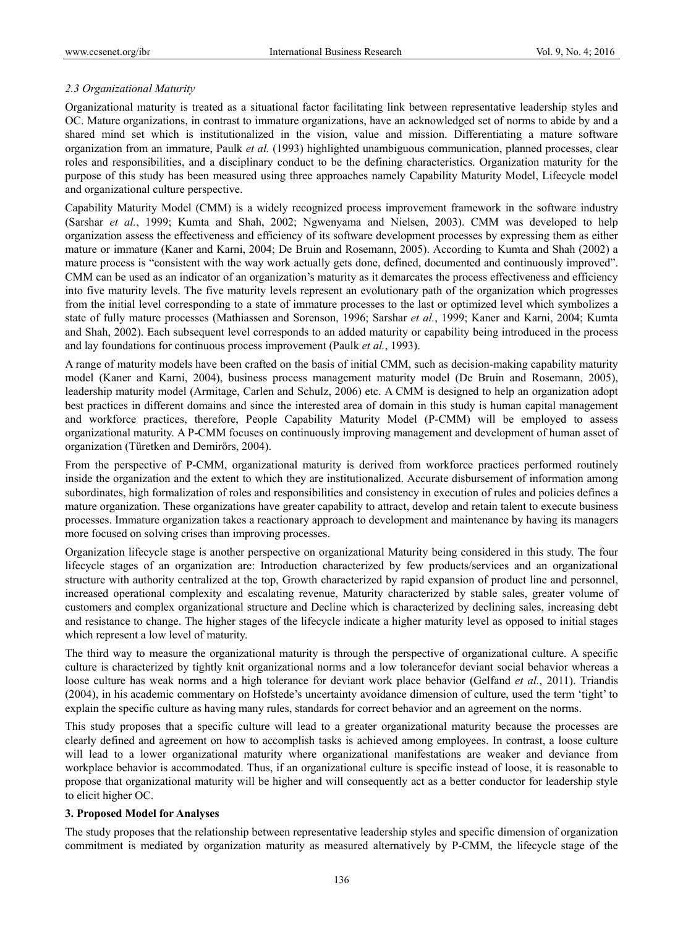## *2.3 Organizational Maturity*

Organizational maturity is treated as a situational factor facilitating link between representative leadership styles and OC. Mature organizations, in contrast to immature organizations, have an acknowledged set of norms to abide by and a shared mind set which is institutionalized in the vision, value and mission. Differentiating a mature software organization from an immature, Paulk *et al.* (1993) highlighted unambiguous communication, planned processes, clear roles and responsibilities, and a disciplinary conduct to be the defining characteristics. Organization maturity for the purpose of this study has been measured using three approaches namely Capability Maturity Model, Lifecycle model and organizational culture perspective.

Capability Maturity Model (CMM) is a widely recognized process improvement framework in the software industry (Sarshar *et al.*, 1999; Kumta and Shah, 2002; Ngwenyama and Nielsen, 2003). CMM was developed to help organization assess the effectiveness and efficiency of its software development processes by expressing them as either mature or immature (Kaner and Karni, 2004; De Bruin and Rosemann, 2005). According to Kumta and Shah (2002) a mature process is "consistent with the way work actually gets done, defined, documented and continuously improved". CMM can be used as an indicator of an organization's maturity as it demarcates the process effectiveness and efficiency into five maturity levels. The five maturity levels represent an evolutionary path of the organization which progresses from the initial level corresponding to a state of immature processes to the last or optimized level which symbolizes a state of fully mature processes (Mathiassen and Sorenson, 1996; Sarshar *et al.*, 1999; Kaner and Karni, 2004; Kumta and Shah, 2002). Each subsequent level corresponds to an added maturity or capability being introduced in the process and lay foundations for continuous process improvement (Paulk *et al.*, 1993).

A range of maturity models have been crafted on the basis of initial CMM, such as decision-making capability maturity model (Kaner and Karni, 2004), business process management maturity model (De Bruin and Rosemann, 2005), leadership maturity model (Armitage, Carlen and Schulz, 2006) etc. A CMM is designed to help an organization adopt best practices in different domains and since the interested area of domain in this study is human capital management and workforce practices, therefore, People Capability Maturity Model (P-CMM) will be employed to assess organizational maturity. A P-CMM focuses on continuously improving management and development of human asset of organization (Türetken and Demirörs, 2004).

From the perspective of P-CMM, organizational maturity is derived from workforce practices performed routinely inside the organization and the extent to which they are institutionalized. Accurate disbursement of information among subordinates, high formalization of roles and responsibilities and consistency in execution of rules and policies defines a mature organization. These organizations have greater capability to attract, develop and retain talent to execute business processes. Immature organization takes a reactionary approach to development and maintenance by having its managers more focused on solving crises than improving processes.

Organization lifecycle stage is another perspective on organizational Maturity being considered in this study. The four lifecycle stages of an organization are: Introduction characterized by few products/services and an organizational structure with authority centralized at the top, Growth characterized by rapid expansion of product line and personnel, increased operational complexity and escalating revenue, Maturity characterized by stable sales, greater volume of customers and complex organizational structure and Decline which is characterized by declining sales, increasing debt and resistance to change. The higher stages of the lifecycle indicate a higher maturity level as opposed to initial stages which represent a low level of maturity.

The third way to measure the organizational maturity is through the perspective of organizational culture. A specific culture is characterized by tightly knit organizational norms and a low tolerancefor deviant social behavior whereas a loose culture has weak norms and a high tolerance for deviant work place behavior (Gelfand *et al.*, 2011). Triandis (2004), in his academic commentary on Hofstede's uncertainty avoidance dimension of culture, used the term 'tight' to explain the specific culture as having many rules, standards for correct behavior and an agreement on the norms.

This study proposes that a specific culture will lead to a greater organizational maturity because the processes are clearly defined and agreement on how to accomplish tasks is achieved among employees. In contrast, a loose culture will lead to a lower organizational maturity where organizational manifestations are weaker and deviance from workplace behavior is accommodated. Thus, if an organizational culture is specific instead of loose, it is reasonable to propose that organizational maturity will be higher and will consequently act as a better conductor for leadership style to elicit higher OC.

#### **3. Proposed Model for Analyses**

The study proposes that the relationship between representative leadership styles and specific dimension of organization commitment is mediated by organization maturity as measured alternatively by P-CMM, the lifecycle stage of the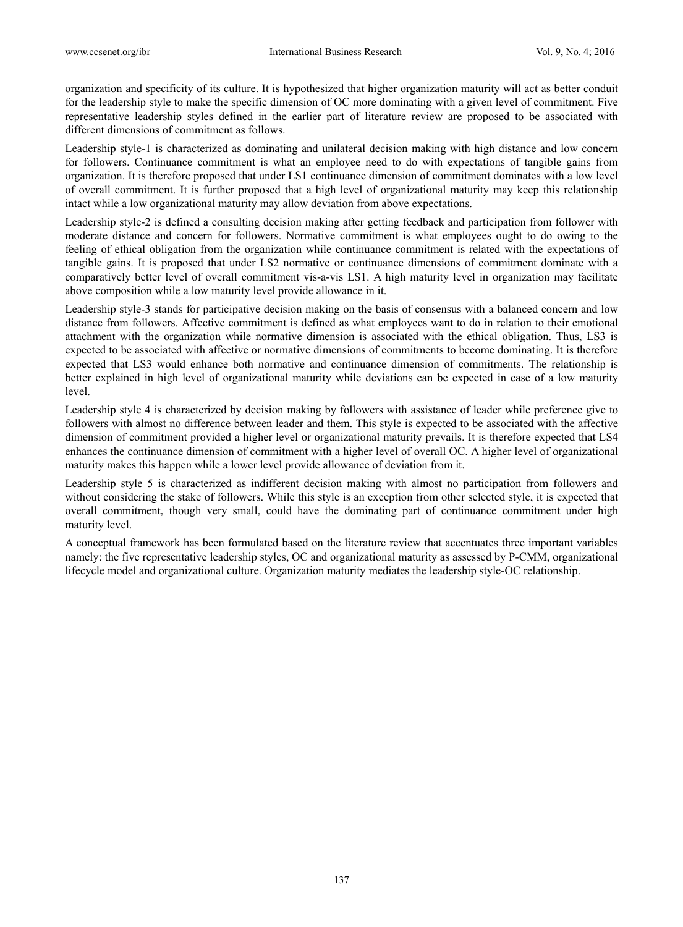organization and specificity of its culture. It is hypothesized that higher organization maturity will act as better conduit for the leadership style to make the specific dimension of OC more dominating with a given level of commitment. Five representative leadership styles defined in the earlier part of literature review are proposed to be associated with different dimensions of commitment as follows.

Leadership style-1 is characterized as dominating and unilateral decision making with high distance and low concern for followers. Continuance commitment is what an employee need to do with expectations of tangible gains from organization. It is therefore proposed that under LS1 continuance dimension of commitment dominates with a low level of overall commitment. It is further proposed that a high level of organizational maturity may keep this relationship intact while a low organizational maturity may allow deviation from above expectations.

Leadership style-2 is defined a consulting decision making after getting feedback and participation from follower with moderate distance and concern for followers. Normative commitment is what employees ought to do owing to the feeling of ethical obligation from the organization while continuance commitment is related with the expectations of tangible gains. It is proposed that under LS2 normative or continuance dimensions of commitment dominate with a comparatively better level of overall commitment vis-a-vis LS1. A high maturity level in organization may facilitate above composition while a low maturity level provide allowance in it.

Leadership style-3 stands for participative decision making on the basis of consensus with a balanced concern and low distance from followers. Affective commitment is defined as what employees want to do in relation to their emotional attachment with the organization while normative dimension is associated with the ethical obligation. Thus, LS3 is expected to be associated with affective or normative dimensions of commitments to become dominating. It is therefore expected that LS3 would enhance both normative and continuance dimension of commitments. The relationship is better explained in high level of organizational maturity while deviations can be expected in case of a low maturity level.

Leadership style 4 is characterized by decision making by followers with assistance of leader while preference give to followers with almost no difference between leader and them. This style is expected to be associated with the affective dimension of commitment provided a higher level or organizational maturity prevails. It is therefore expected that LS4 enhances the continuance dimension of commitment with a higher level of overall OC. A higher level of organizational maturity makes this happen while a lower level provide allowance of deviation from it.

Leadership style 5 is characterized as indifferent decision making with almost no participation from followers and without considering the stake of followers. While this style is an exception from other selected style, it is expected that overall commitment, though very small, could have the dominating part of continuance commitment under high maturity level.

A conceptual framework has been formulated based on the literature review that accentuates three important variables namely: the five representative leadership styles, OC and organizational maturity as assessed by P-CMM, organizational lifecycle model and organizational culture. Organization maturity mediates the leadership style-OC relationship.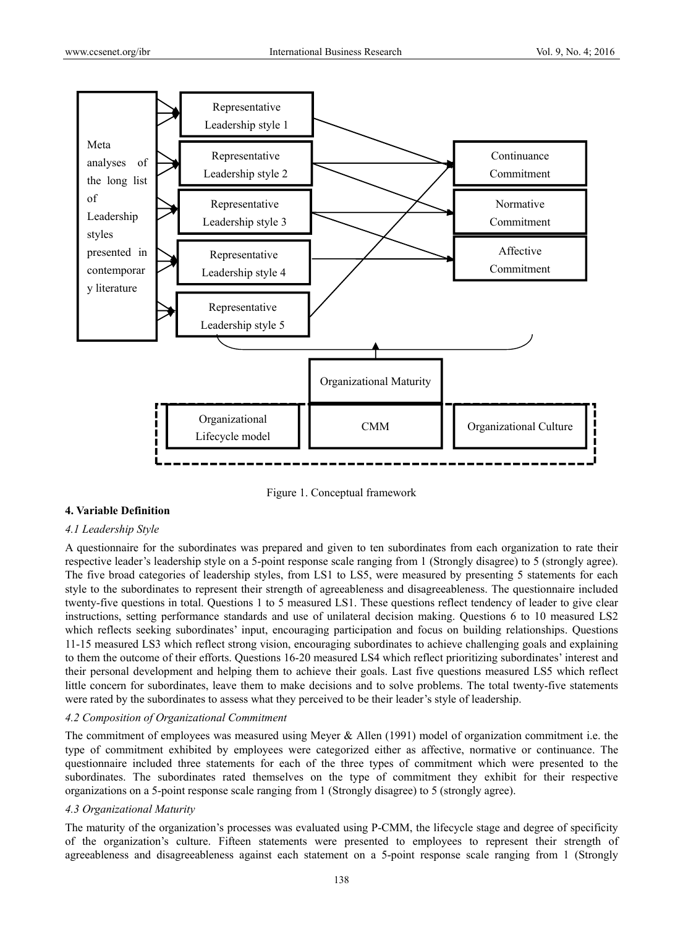

Figure 1. Conceptual framework

# **4. Variable Definition**

# *4.1 Leadership Style*

A questionnaire for the subordinates was prepared and given to ten subordinates from each organization to rate their respective leader's leadership style on a 5-point response scale ranging from 1 (Strongly disagree) to 5 (strongly agree). The five broad categories of leadership styles, from LS1 to LS5, were measured by presenting 5 statements for each style to the subordinates to represent their strength of agreeableness and disagreeableness. The questionnaire included twenty-five questions in total. Questions 1 to 5 measured LS1. These questions reflect tendency of leader to give clear instructions, setting performance standards and use of unilateral decision making. Questions 6 to 10 measured LS2 which reflects seeking subordinates' input, encouraging participation and focus on building relationships. Questions 11-15 measured LS3 which reflect strong vision, encouraging subordinates to achieve challenging goals and explaining to them the outcome of their efforts. Questions 16-20 measured LS4 which reflect prioritizing subordinates' interest and their personal development and helping them to achieve their goals. Last five questions measured LS5 which reflect little concern for subordinates, leave them to make decisions and to solve problems. The total twenty-five statements were rated by the subordinates to assess what they perceived to be their leader's style of leadership.

#### *4.2 Composition of Organizational Commitment*

The commitment of employees was measured using Meyer & Allen (1991) model of organization commitment i.e. the type of commitment exhibited by employees were categorized either as affective, normative or continuance. The questionnaire included three statements for each of the three types of commitment which were presented to the subordinates. The subordinates rated themselves on the type of commitment they exhibit for their respective organizations on a 5-point response scale ranging from 1 (Strongly disagree) to 5 (strongly agree).

#### *4.3 Organizational Maturity*

The maturity of the organization's processes was evaluated using P-CMM, the lifecycle stage and degree of specificity of the organization's culture. Fifteen statements were presented to employees to represent their strength of agreeableness and disagreeableness against each statement on a 5-point response scale ranging from 1 (Strongly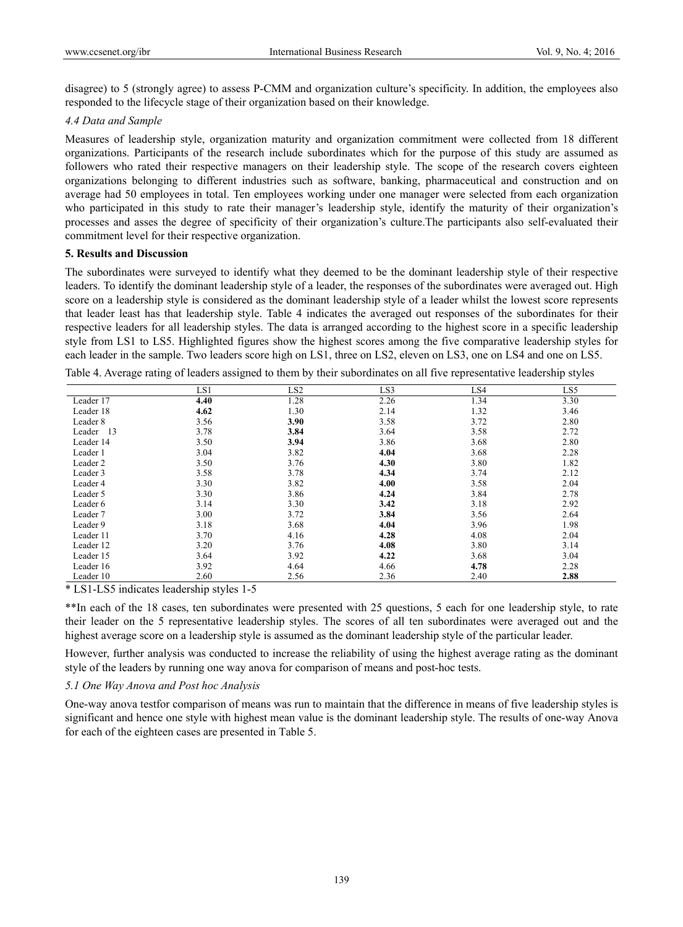disagree) to 5 (strongly agree) to assess P-CMM and organization culture's specificity. In addition, the employees also responded to the lifecycle stage of their organization based on their knowledge.

#### *4.4 Data and Sample*

Measures of leadership style, organization maturity and organization commitment were collected from 18 different organizations. Participants of the research include subordinates which for the purpose of this study are assumed as followers who rated their respective managers on their leadership style. The scope of the research covers eighteen organizations belonging to different industries such as software, banking, pharmaceutical and construction and on average had 50 employees in total. Ten employees working under one manager were selected from each organization who participated in this study to rate their manager's leadership style, identify the maturity of their organization's processes and asses the degree of specificity of their organization's culture.The participants also self-evaluated their commitment level for their respective organization.

#### **5. Results and Discussion**

The subordinates were surveyed to identify what they deemed to be the dominant leadership style of their respective leaders. To identify the dominant leadership style of a leader, the responses of the subordinates were averaged out. High score on a leadership style is considered as the dominant leadership style of a leader whilst the lowest score represents that leader least has that leadership style. Table 4 indicates the averaged out responses of the subordinates for their respective leaders for all leadership styles. The data is arranged according to the highest score in a specific leadership style from LS1 to LS5. Highlighted figures show the highest scores among the five comparative leadership styles for each leader in the sample. Two leaders score high on LS1, three on LS2, eleven on LS3, one on LS4 and one on LS5.

|           | LS1  | LS <sub>2</sub> | LS3  | LS4  | LS5  |
|-----------|------|-----------------|------|------|------|
| Leader 17 | 4.40 | 1.28            | 2.26 | 1.34 | 3.30 |
| Leader 18 | 4.62 | 1.30            | 2.14 | 1.32 | 3.46 |
| Leader 8  | 3.56 | 3.90            | 3.58 | 3.72 | 2.80 |
| Leader 13 | 3.78 | 3.84            | 3.64 | 3.58 | 2.72 |
| Leader 14 | 3.50 | 3.94            | 3.86 | 3.68 | 2.80 |
| Leader 1  | 3.04 | 3.82            | 4.04 | 3.68 | 2.28 |
| Leader 2  | 3.50 | 3.76            | 4.30 | 3.80 | 1.82 |
| Leader 3  | 3.58 | 3.78            | 4.34 | 3.74 | 2.12 |
| Leader 4  | 3.30 | 3.82            | 4.00 | 3.58 | 2.04 |
| Leader 5  | 3.30 | 3.86            | 4.24 | 3.84 | 2.78 |
| Leader 6  | 3.14 | 3.30            | 3.42 | 3.18 | 2.92 |
| Leader 7  | 3.00 | 3.72            | 3.84 | 3.56 | 2.64 |
| Leader 9  | 3.18 | 3.68            | 4.04 | 3.96 | 1.98 |
| Leader 11 | 3.70 | 4.16            | 4.28 | 4.08 | 2.04 |
| Leader 12 | 3.20 | 3.76            | 4.08 | 3.80 | 3.14 |
| Leader 15 | 3.64 | 3.92            | 4.22 | 3.68 | 3.04 |
| Leader 16 | 3.92 | 4.64            | 4.66 | 4.78 | 2.28 |
| Leader 10 | 2.60 | 2.56            | 2.36 | 2.40 | 2.88 |

Table 4. Average rating of leaders assigned to them by their subordinates on all five representative leadership styles

\* LS1-LS5 indicates leadership styles 1-5

\*\*In each of the 18 cases, ten subordinates were presented with 25 questions, 5 each for one leadership style, to rate their leader on the 5 representative leadership styles. The scores of all ten subordinates were averaged out and the highest average score on a leadership style is assumed as the dominant leadership style of the particular leader.

However, further analysis was conducted to increase the reliability of using the highest average rating as the dominant style of the leaders by running one way anova for comparison of means and post-hoc tests.

#### *5.1 One Way Anova and Post hoc Analysis*

One-way anova testfor comparison of means was run to maintain that the difference in means of five leadership styles is significant and hence one style with highest mean value is the dominant leadership style. The results of one-way Anova for each of the eighteen cases are presented in Table 5.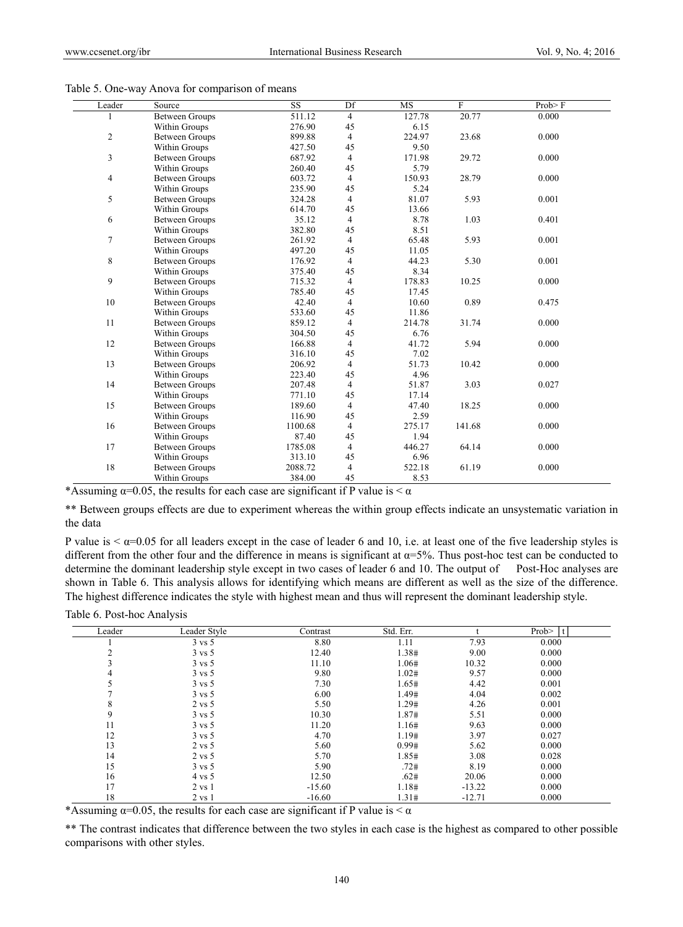$\overline{\phantom{0}}$ 

| Leader         | Source                | SS      | Df             | <b>MS</b> | $\mathbf F$ | Prob > F |
|----------------|-----------------------|---------|----------------|-----------|-------------|----------|
|                | <b>Between Groups</b> | 511.12  | $\overline{4}$ | 127.78    | 20.77       | 0.000    |
|                | Within Groups         | 276.90  | 45             | 6.15      |             |          |
| $\mathfrak{2}$ | <b>Between Groups</b> | 899.88  | 4              | 224.97    | 23.68       | 0.000    |
|                | Within Groups         | 427.50  | 45             | 9.50      |             |          |
| 3              | <b>Between Groups</b> | 687.92  | 4              | 171.98    | 29.72       | 0.000    |
|                | Within Groups         | 260.40  | 45             | 5.79      |             |          |
| 4              | <b>Between Groups</b> | 603.72  | 4              | 150.93    | 28.79       | 0.000    |
|                | Within Groups         | 235.90  | 45             | 5.24      |             |          |
| 5              | <b>Between Groups</b> | 324.28  | 4              | 81.07     | 5.93        | 0.001    |
|                | Within Groups         | 614.70  | 45             | 13.66     |             |          |
| 6              | <b>Between Groups</b> | 35.12   | 4              | 8.78      | 1.03        | 0.401    |
|                | Within Groups         | 382.80  | 45             | 8.51      |             |          |
| $\tau$         | <b>Between Groups</b> | 261.92  | 4              | 65.48     | 5.93        | 0.001    |
|                | Within Groups         | 497.20  | 45             | 11.05     |             |          |
| $\,$ 8 $\,$    | <b>Between Groups</b> | 176.92  | 4              | 44.23     | 5.30        | 0.001    |
|                | Within Groups         | 375.40  | 45             | 8.34      |             |          |
| 9              | <b>Between Groups</b> | 715.32  | 4              | 178.83    | 10.25       | 0.000    |
|                | Within Groups         | 785.40  | 45             | 17.45     |             |          |
| 10             | <b>Between Groups</b> | 42.40   | 4              | 10.60     | 0.89        | 0.475    |
|                | Within Groups         | 533.60  | 45             | 11.86     |             |          |
| 11             | <b>Between Groups</b> | 859.12  | 4              | 214.78    | 31.74       | 0.000    |
|                | Within Groups         | 304.50  | 45             | 6.76      |             |          |
| 12             | <b>Between Groups</b> | 166.88  | 4              | 41.72     | 5.94        | 0.000    |
|                | Within Groups         | 316.10  | 45             | 7.02      |             |          |
| 13             | <b>Between Groups</b> | 206.92  | 4              | 51.73     | 10.42       | 0.000    |
|                | Within Groups         | 223.40  | 45             | 4.96      |             |          |
| 14             | <b>Between Groups</b> | 207.48  | 4              | 51.87     | 3.03        | 0.027    |
|                | Within Groups         | 771.10  | 45             | 17.14     |             |          |
| 15             | <b>Between Groups</b> | 189.60  | 4              | 47.40     | 18.25       | 0.000    |
|                | Within Groups         | 116.90  | 45             | 2.59      |             |          |
| 16             | <b>Between Groups</b> | 1100.68 | 4              | 275.17    | 141.68      | 0.000    |
|                | Within Groups         | 87.40   | 45             | 1.94      |             |          |
| 17             | <b>Between Groups</b> | 1785.08 | 4              | 446.27    | 64.14       | 0.000    |
|                | Within Groups         | 313.10  | 45             | 6.96      |             |          |
| 18             | <b>Between Groups</b> | 2088.72 | 4              | 522.18    | 61.19       | 0.000    |
|                | Within Groups         | 384.00  | 45             | 8.53      |             |          |

|  |  | Table 5. One-way Anova for comparison of means |
|--|--|------------------------------------------------|
|  |  |                                                |

\*Assuming  $\alpha$ =0.05, the results for each case are significant if P value is  $\alpha$ 

\*\* Between groups effects are due to experiment whereas the within group effects indicate an unsystematic variation in the data

P value is  $\alpha = 0.05$  for all leaders except in the case of leader 6 and 10, i.e. at least one of the five leadership styles is different from the other four and the difference in means is significant at  $\alpha$ =5%. Thus post-hoc test can be conducted to determine the dominant leadership style except in two cases of leader 6 and 10. The output of Post-Hoc analyses are shown in Table 6. This analysis allows for identifying which means are different as well as the size of the difference. The highest difference indicates the style with highest mean and thus will represent the dominant leadership style.

#### Table 6. Post-hoc Analysis

| Leader | Leader Style      | Contrast | Std. Err. |          | Prob> |
|--------|-------------------|----------|-----------|----------|-------|
|        | $3 \text{ vs } 5$ | 8.80     | 1.11      | 7.93     | 0.000 |
| 2      | $3 \text{ vs } 5$ | 12.40    | 1.38#     | 9.00     | 0.000 |
|        | $3 \text{ vs } 5$ | 11.10    | 1.06#     | 10.32    | 0.000 |
| 4      | $3 \text{ vs } 5$ | 9.80     | 1.02#     | 9.57     | 0.000 |
|        | $3 \text{ vs } 5$ | 7.30     | 1.65#     | 4.42     | 0.001 |
|        | $3 \text{ vs } 5$ | 6.00     | 1.49#     | 4.04     | 0.002 |
| 8      | $2 \text{ vs } 5$ | 5.50     | 1.29#     | 4.26     | 0.001 |
| 9      | $3 \text{ vs } 5$ | 10.30    | 1.87#     | 5.51     | 0.000 |
| 11     | $3 \text{ vs } 5$ | 11.20    | 1.16#     | 9.63     | 0.000 |
| 12     | $3 \text{ vs } 5$ | 4.70     | 1.19#     | 3.97     | 0.027 |
| 13     | $2 \text{ vs } 5$ | 5.60     | 0.99#     | 5.62     | 0.000 |
| 14     | $2 \text{ vs } 5$ | 5.70     | 1.85#     | 3.08     | 0.028 |
| 15     | $3 \text{ vs } 5$ | 5.90     | $.72+$    | 8.19     | 0.000 |
| 16     | $4 \text{ vs } 5$ | 12.50    | .62#      | 20.06    | 0.000 |
| 17     | $2 \text{ vs } 1$ | $-15.60$ | 1.18#     | $-13.22$ | 0.000 |
| 18     | $2 \text{ vs } 1$ | $-16.60$ | 1.31#     | $-12.71$ | 0.000 |

\*Assuming  $\alpha$ =0.05, the results for each case are significant if P value is  $\alpha$ 

\*\* The contrast indicates that difference between the two styles in each case is the highest as compared to other possible comparisons with other styles.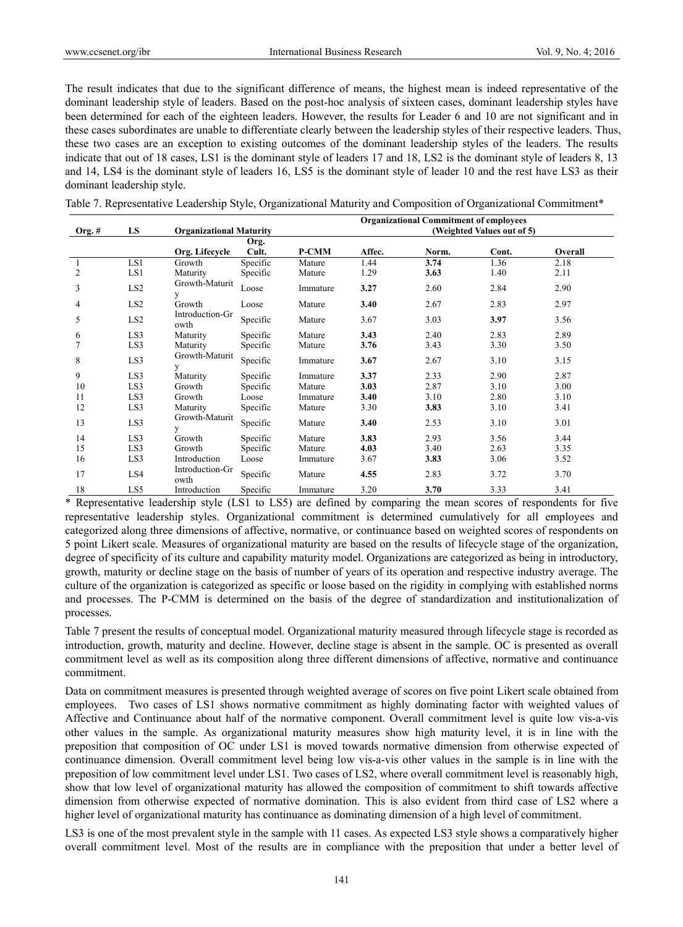The result indicates that due to the significant difference of means, the highest mean is indeed representative of the dominant leadership style of leaders. Based on the post-hoc analysis of sixteen cases, dominant leadership styles have been determined for each of the eighteen leaders. However, the results for Leader 6 and 10 are not significant and in these cases subordinates are unable to differentiate clearly between the leadership styles of their respective leaders. Thus, these two cases are an exception to existing outcomes of the dominant leadership styles of the leaders. The results indicate that out of 18 cases, LS1 is the dominant style of leaders 17 and 18, LS2 is the dominant style of leaders 8, 13 and 14, LS4 is the dominant style of leaders 16, LS5 is the dominant style of leader 10 and the rest have LS3 as their dominant leadership style.

|  | Table 7. Representative Leadership Style, Organizational Maturity and Composition of Organizational Commitment* |
|--|-----------------------------------------------------------------------------------------------------------------|
|--|-----------------------------------------------------------------------------------------------------------------|

|          |                 | <b>Organizational Commitment of employees</b> |          |          |        |       |                            |         |
|----------|-----------------|-----------------------------------------------|----------|----------|--------|-------|----------------------------|---------|
| Org. $#$ | LS              | <b>Organizational Maturity</b>                |          |          |        |       | (Weighted Values out of 5) |         |
|          |                 |                                               | Org.     |          |        |       |                            |         |
|          |                 | Org. Lifecycle                                | Cult.    | P-CMM    | Affec. | Norm. | Cont.                      | Overall |
|          | LS1             | Growth                                        | Specific | Mature   | 1.44   | 3.74  | 1.36                       | 2.18    |
| 2        | LS1             | Maturity                                      | Specific | Mature   | 1.29   | 3.63  | 1.40                       | 2.11    |
| 3        | LS <sub>2</sub> | Growth-Maturit<br>y                           | Loose    | Immature | 3.27   | 2.60  | 2.84                       | 2.90    |
| 4        | LS <sub>2</sub> | Growth                                        | Loose    | Mature   | 3.40   | 2.67  | 2.83                       | 2.97    |
| 5        | LS <sub>2</sub> | Introduction-Gr<br>owth                       | Specific | Mature   | 3.67   | 3.03  | 3.97                       | 3.56    |
| 6        | LS3             | Maturity                                      | Specific | Mature   | 3.43   | 2.40  | 2.83                       | 2.89    |
|          | LS3             | Maturity                                      | Specific | Mature   | 3.76   | 3.43  | 3.30                       | 3.50    |
| 8        | LS3             | Growth-Maturit<br>y                           | Specific | Immature | 3.67   | 2.67  | 3.10                       | 3.15    |
| 9        | LS3             | Maturity                                      | Specific | Immature | 3.37   | 2.33  | 2.90                       | 2.87    |
| 10       | LS3             | Growth                                        | Specific | Mature   | 3.03   | 2.87  | 3.10                       | 3.00    |
| 11       | LS3             | Growth                                        | Loose    | Immature | 3.40   | 3.10  | 2.80                       | 3.10    |
| 12       | LS3             | Maturity                                      | Specific | Mature   | 3.30   | 3.83  | 3.10                       | 3.41    |
| 13       | LS3             | Growth-Maturit<br>V                           | Specific | Mature   | 3.40   | 2.53  | 3.10                       | 3.01    |
| 14       | LS3             | Growth                                        | Specific | Mature   | 3.83   | 2.93  | 3.56                       | 3.44    |
| 15       | LS3             | Growth                                        | Specific | Mature   | 4.03   | 3.40  | 2.63                       | 3.35    |
| 16       | LS3             | Introduction                                  | Loose    | Immature | 3.67   | 3.83  | 3.06                       | 3.52    |
| 17       | LS4             | Introduction-Gr<br>owth                       | Specific | Mature   | 4.55   | 2.83  | 3.72                       | 3.70    |
| 18       | LS5             | Introduction                                  | Specific | Immature | 3.20   | 3.70  | 3.33                       | 3.41    |

\* Representative leadership style (LS1 to LS5) are defined by comparing the mean scores of respondents for five representative leadership styles. Organizational commitment is determined cumulatively for all employees and categorized along three dimensions of affective, normative, or continuance based on weighted scores of respondents on 5 point Likert scale. Measures of organizational maturity are based on the results of lifecycle stage of the organization, degree of specificity of its culture and capability maturity model. Organizations are categorized as being in introductory, growth, maturity or decline stage on the basis of number of years of its operation and respective industry average. The culture of the organization is categorized as specific or loose based on the rigidity in complying with established norms and processes. The P-CMM is determined on the basis of the degree of standardization and institutionalization of processes.

Table 7 present the results of conceptual model. Organizational maturity measured through lifecycle stage is recorded as introduction, growth, maturity and decline. However, decline stage is absent in the sample. OC is presented as overall commitment level as well as its composition along three different dimensions of affective, normative and continuance commitment.

Data on commitment measures is presented through weighted average of scores on five point Likert scale obtained from employees. Two cases of LS1 shows normative commitment as highly dominating factor with weighted values of Affective and Continuance about half of the normative component. Overall commitment level is quite low vis-a-vis other values in the sample. As organizational maturity measures show high maturity level, it is in line with the preposition that composition of OC under LS1 is moved towards normative dimension from otherwise expected of continuance dimension. Overall commitment level being low vis-a-vis other values in the sample is in line with the preposition of low commitment level under LS1. Two cases of LS2, where overall commitment level is reasonably high, show that low level of organizational maturity has allowed the composition of commitment to shift towards affective dimension from otherwise expected of normative domination. This is also evident from third case of LS2 where a higher level of organizational maturity has continuance as dominating dimension of a high level of commitment.

LS3 is one of the most prevalent style in the sample with 11 cases. As expected LS3 style shows a comparatively higher overall commitment level. Most of the results are in compliance with the preposition that under a better level of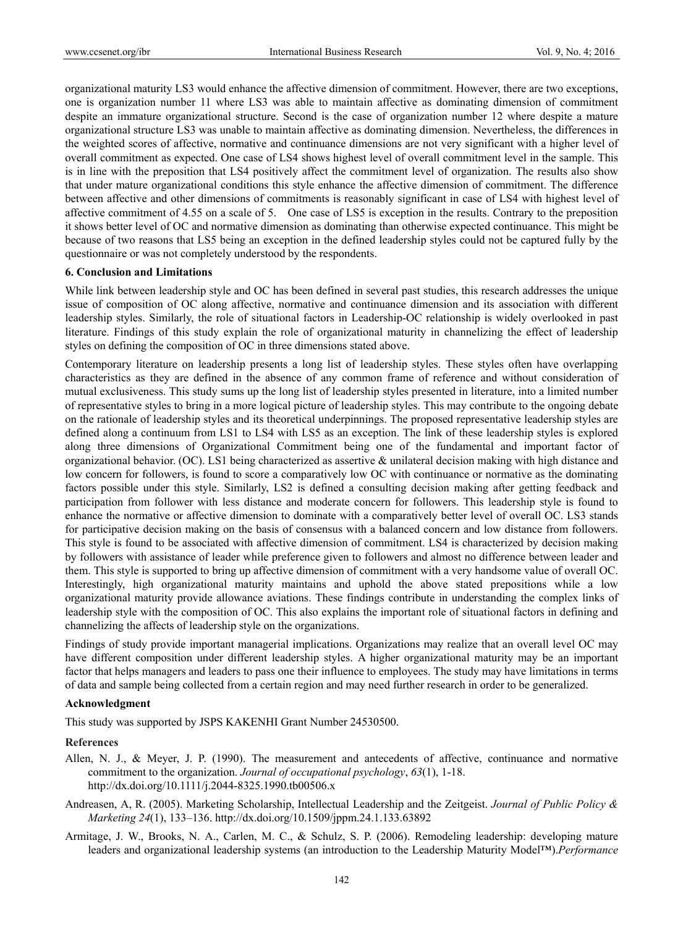organizational maturity LS3 would enhance the affective dimension of commitment. However, there are two exceptions, one is organization number 11 where LS3 was able to maintain affective as dominating dimension of commitment despite an immature organizational structure. Second is the case of organization number 12 where despite a mature organizational structure LS3 was unable to maintain affective as dominating dimension. Nevertheless, the differences in the weighted scores of affective, normative and continuance dimensions are not very significant with a higher level of overall commitment as expected. One case of LS4 shows highest level of overall commitment level in the sample. This is in line with the preposition that LS4 positively affect the commitment level of organization. The results also show that under mature organizational conditions this style enhance the affective dimension of commitment. The difference between affective and other dimensions of commitments is reasonably significant in case of LS4 with highest level of affective commitment of 4.55 on a scale of 5. One case of LS5 is exception in the results. Contrary to the preposition it shows better level of OC and normative dimension as dominating than otherwise expected continuance. This might be because of two reasons that LS5 being an exception in the defined leadership styles could not be captured fully by the questionnaire or was not completely understood by the respondents.

#### **6. Conclusion and Limitations**

While link between leadership style and OC has been defined in several past studies, this research addresses the unique issue of composition of OC along affective, normative and continuance dimension and its association with different leadership styles. Similarly, the role of situational factors in Leadership-OC relationship is widely overlooked in past literature. Findings of this study explain the role of organizational maturity in channelizing the effect of leadership styles on defining the composition of OC in three dimensions stated above.

Contemporary literature on leadership presents a long list of leadership styles. These styles often have overlapping characteristics as they are defined in the absence of any common frame of reference and without consideration of mutual exclusiveness. This study sums up the long list of leadership styles presented in literature, into a limited number of representative styles to bring in a more logical picture of leadership styles. This may contribute to the ongoing debate on the rationale of leadership styles and its theoretical underpinnings. The proposed representative leadership styles are defined along a continuum from LS1 to LS4 with LS5 as an exception. The link of these leadership styles is explored along three dimensions of Organizational Commitment being one of the fundamental and important factor of organizational behavior. (OC). LS1 being characterized as assertive & unilateral decision making with high distance and low concern for followers, is found to score a comparatively low OC with continuance or normative as the dominating factors possible under this style. Similarly, LS2 is defined a consulting decision making after getting feedback and participation from follower with less distance and moderate concern for followers. This leadership style is found to enhance the normative or affective dimension to dominate with a comparatively better level of overall OC. LS3 stands for participative decision making on the basis of consensus with a balanced concern and low distance from followers. This style is found to be associated with affective dimension of commitment. LS4 is characterized by decision making by followers with assistance of leader while preference given to followers and almost no difference between leader and them. This style is supported to bring up affective dimension of commitment with a very handsome value of overall OC. Interestingly, high organizational maturity maintains and uphold the above stated prepositions while a low organizational maturity provide allowance aviations. These findings contribute in understanding the complex links of leadership style with the composition of OC. This also explains the important role of situational factors in defining and channelizing the affects of leadership style on the organizations.

Findings of study provide important managerial implications. Organizations may realize that an overall level OC may have different composition under different leadership styles. A higher organizational maturity may be an important factor that helps managers and leaders to pass one their influence to employees. The study may have limitations in terms of data and sample being collected from a certain region and may need further research in order to be generalized.

#### **Acknowledgment**

This study was supported by JSPS KAKENHI Grant Number 24530500.

#### **References**

- Allen, N. J., & Meyer, J. P. (1990). The measurement and antecedents of affective, continuance and normative commitment to the organization. *Journal of occupational psychology*, *63*(1), 1-18. http://dx.doi.org/10.1111/j.2044-8325.1990.tb00506.x
- Andreasen, A, R. (2005). Marketing Scholarship, Intellectual Leadership and the Zeitgeist. *Journal of Public Policy & Marketing 24*(1), 133–136. http://dx.doi.org/10.1509/jppm.24.1.133.63892
- Armitage, J. W., Brooks, N. A., Carlen, M. C., & Schulz, S. P. (2006). Remodeling leadership: developing mature leaders and organizational leadership systems (an introduction to the Leadership Maturity Model™).*Performance*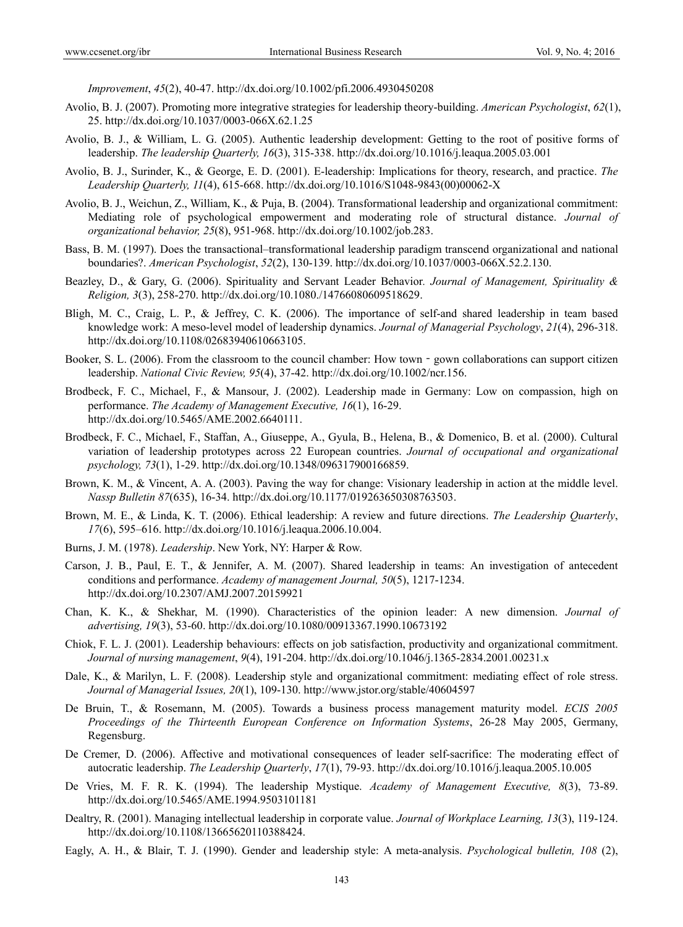*Improvement*, *45*(2), 40-47. http://dx.doi.org/10.1002/pfi.2006.4930450208

- Avolio, B. J. (2007). Promoting more integrative strategies for leadership theory-building. *American Psychologist*, *62*(1), 25. http://dx.doi.org/10.1037/0003-066X.62.1.25
- Avolio, B. J., & William, L. G. (2005). Authentic leadership development: Getting to the root of positive forms of leadership. *The leadership Quarterly, 16*(3), 315-338. http://dx.doi.org/10.1016/j.leaqua.2005.03.001
- Avolio, B. J., Surinder, K., & George, E. D. (2001). E-leadership: Implications for theory, research, and practice. *The Leadership Quarterly, 11*(4), 615-668. http://dx.doi.org/10.1016/S1048-9843(00)00062-X
- Avolio, B. J., Weichun, Z., William, K., & Puja, B. (2004). Transformational leadership and organizational commitment: Mediating role of psychological empowerment and moderating role of structural distance. *Journal of organizational behavior, 25*(8), 951-968. http://dx.doi.org/10.1002/job.283.
- Bass, B. M. (1997). Does the transactional–transformational leadership paradigm transcend organizational and national boundaries?. *American Psychologist*, *52*(2), 130-139. http://dx.doi.org/10.1037/0003-066X.52.2.130.
- Beazley, D., & Gary, G. (2006). Spirituality and Servant Leader Behavior*. Journal of Management, Spirituality & Religion, 3*(3), 258-270. http://dx.doi.org/10.1080./14766080609518629.
- Bligh, M. C., Craig, L. P., & Jeffrey, C. K. (2006). The importance of self-and shared leadership in team based knowledge work: A meso-level model of leadership dynamics. *Journal of Managerial Psychology*, *21*(4), 296-318. http://dx.doi.org/10.1108/02683940610663105.
- Booker, S. L. (2006). From the classroom to the council chamber: How town gown collaborations can support citizen leadership. *National Civic Review, 95*(4), 37-42. http://dx.doi.org/10.1002/ncr.156.
- Brodbeck, F. C., Michael, F., & Mansour, J. (2002). Leadership made in Germany: Low on compassion, high on performance. *The Academy of Management Executive, 16*(1), 16-29. http://dx.doi.org/10.5465/AME.2002.6640111.
- Brodbeck, F. C., Michael, F., Staffan, A., Giuseppe, A., Gyula, B., Helena, B., & Domenico, B. et al. (2000). Cultural variation of leadership prototypes across 22 European countries. *Journal of occupational and organizational psychology, 73*(1), 1-29. http://dx.doi.org/10.1348/096317900166859.
- Brown, K. M., & Vincent, A. A. (2003). Paving the way for change: Visionary leadership in action at the middle level. *Nassp Bulletin 87*(635), 16-34. http://dx.doi.org/10.1177/019263650308763503.
- Brown, M. E., & Linda, K. T. (2006). Ethical leadership: A review and future directions. *The Leadership Quarterly*, *17*(6), 595–616. http://dx.doi.org/10.1016/j.leaqua.2006.10.004.
- Burns, J. M. (1978). *Leadership*. New York, NY: Harper & Row.
- Carson, J. B., Paul, E. T., & Jennifer, A. M. (2007). Shared leadership in teams: An investigation of antecedent conditions and performance. *Academy of management Journal, 50*(5), 1217-1234. http://dx.doi.org/10.2307/AMJ.2007.20159921
- Chan, K. K., & Shekhar, M. (1990). Characteristics of the opinion leader: A new dimension. *Journal of advertising, 19*(3), 53-60. http://dx.doi.org/10.1080/00913367.1990.10673192
- Chiok, F. L. J. (2001). Leadership behaviours: effects on job satisfaction, productivity and organizational commitment. *Journal of nursing management*, *9*(4), 191-204. http://dx.doi.org/10.1046/j.1365-2834.2001.00231.x
- Dale, K., & Marilyn, L. F. (2008). Leadership style and organizational commitment: mediating effect of role stress. *Journal of Managerial Issues, 20*(1), 109-130. http://www.jstor.org/stable/40604597
- De Bruin, T., & Rosemann, M. (2005). Towards a business process management maturity model. *ECIS 2005 Proceedings of the Thirteenth European Conference on Information Systems*, 26-28 May 2005, Germany, Regensburg.
- De Cremer, D. (2006). Affective and motivational consequences of leader self-sacrifice: The moderating effect of autocratic leadership. *The Leadership Quarterly*, *17*(1), 79-93. http://dx.doi.org/10.1016/j.leaqua.2005.10.005
- De Vries, M. F. R. K. (1994). The leadership Mystique. *Academy of Management Executive, 8*(3), 73-89. http://dx.doi.org/10.5465/AME.1994.9503101181
- Dealtry, R. (2001). Managing intellectual leadership in corporate value. *Journal of Workplace Learning, 13*(3), 119-124. http://dx.doi.org/10.1108/13665620110388424.
- Eagly, A. H., & Blair, T. J. (1990). Gender and leadership style: A meta-analysis. *Psychological bulletin, 108* (2),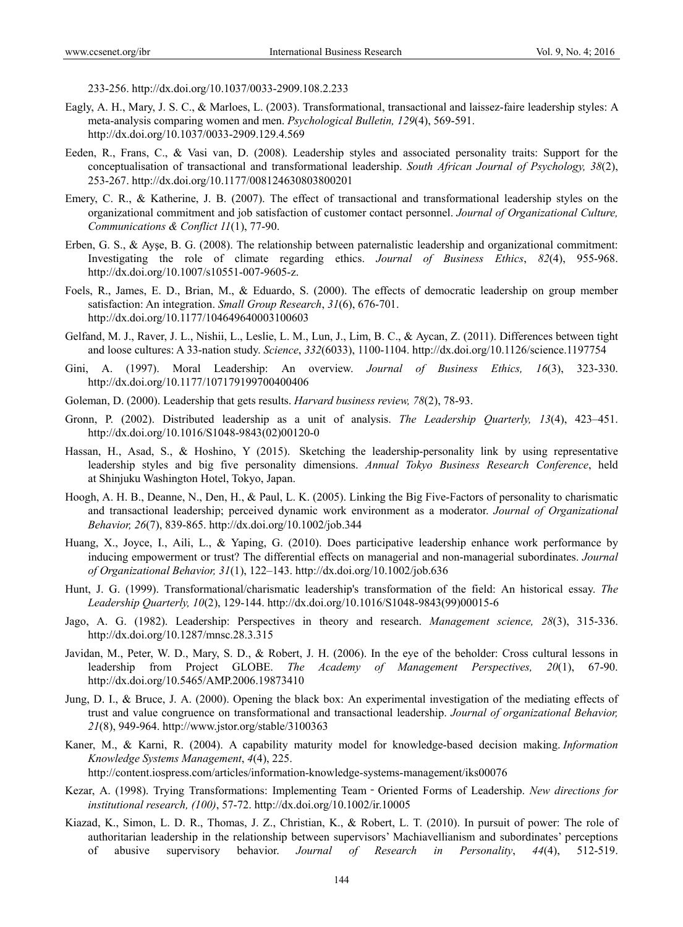233-256. http://dx.doi.org/10.1037/0033-2909.108.2.233

- Eagly, A. H., Mary, J. S. C., & Marloes, L. (2003). Transformational, transactional and laissez-faire leadership styles: A meta-analysis comparing women and men. *Psychological Bulletin, 129*(4), 569-591. http://dx.doi.org/10.1037/0033-2909.129.4.569
- Eeden, R., Frans, C., & Vasi van, D. (2008). Leadership styles and associated personality traits: Support for the conceptualisation of transactional and transformational leadership. *South African Journal of Psychology, 38*(2), 253-267. http://dx.doi.org/10.1177/008124630803800201
- Emery, C. R., & Katherine, J. B. (2007). The effect of transactional and transformational leadership styles on the organizational commitment and job satisfaction of customer contact personnel. *Journal of Organizational Culture, Communications & Conflict 11*(1), 77-90.
- Erben, G. S., & Ayşe, B. G. (2008). The relationship between paternalistic leadership and organizational commitment: Investigating the role of climate regarding ethics. *Journal of Business Ethics*, *82*(4), 955-968. http://dx.doi.org/10.1007/s10551-007-9605-z.
- Foels, R., James, E. D., Brian, M., & Eduardo, S. (2000). The effects of democratic leadership on group member satisfaction: An integration. *Small Group Research*, *31*(6), 676-701. http://dx.doi.org/10.1177/104649640003100603
- Gelfand, M. J., Raver, J. L., Nishii, L., Leslie, L. M., Lun, J., Lim, B. C., & Aycan, Z. (2011). Differences between tight and loose cultures: A 33-nation study. *Science*, *332*(6033), 1100-1104. http://dx.doi.org/10.1126/science.1197754
- Gini, A. (1997). Moral Leadership: An overview. *Journal of Business Ethics, 16*(3), 323-330. http://dx.doi.org/10.1177/107179199700400406
- Goleman, D. (2000). Leadership that gets results. *Harvard business review, 78*(2), 78-93.
- Gronn, P. (2002). Distributed leadership as a unit of analysis. *The Leadership Quarterly, 13*(4), 423–451. http://dx.doi.org/10.1016/S1048-9843(02)00120-0
- Hassan, H., Asad, S., & Hoshino, Y (2015). Sketching the leadership-personality link by using representative leadership styles and big five personality dimensions. *Annual Tokyo Business Research Conference*, held at Shinjuku Washington Hotel, Tokyo, Japan.
- Hoogh, A. H. B., Deanne, N., Den, H., & Paul, L. K. (2005). Linking the Big Five-Factors of personality to charismatic and transactional leadership; perceived dynamic work environment as a moderator. *Journal of Organizational Behavior, 26*(7), 839-865. http://dx.doi.org/10.1002/job.344
- Huang, X., Joyce, I., Aili, L., & Yaping, G. (2010). Does participative leadership enhance work performance by inducing empowerment or trust? The differential effects on managerial and non-managerial subordinates. *Journal of Organizational Behavior, 31*(1), 122–143. http://dx.doi.org/10.1002/job.636
- Hunt, J. G. (1999). Transformational/charismatic leadership's transformation of the field: An historical essay. *The Leadership Quarterly, 10*(2), 129-144. http://dx.doi.org/10.1016/S1048-9843(99)00015-6
- Jago, A. G. (1982). Leadership: Perspectives in theory and research. *Management science, 28*(3), 315-336. http://dx.doi.org/10.1287/mnsc.28.3.315
- Javidan, M., Peter, W. D., Mary, S. D., & Robert, J. H. (2006). In the eye of the beholder: Cross cultural lessons in leadership from Project GLOBE. *The Academy of Management Perspectives, 20*(1), 67-90. http://dx.doi.org/10.5465/AMP.2006.19873410
- Jung, D. I., & Bruce, J. A. (2000). Opening the black box: An experimental investigation of the mediating effects of trust and value congruence on transformational and transactional leadership. *Journal of organizational Behavior, 21*(8), 949-964. http://www.jstor.org/stable/3100363
- Kaner, M., & Karni, R. (2004). A capability maturity model for knowledge-based decision making. *Information Knowledge Systems Management*, *4*(4), 225.

http://content.iospress.com/articles/information-knowledge-systems-management/iks00076

- Kezar, A. (1998). Trying Transformations: Implementing Team‐Oriented Forms of Leadership. *New directions for institutional research, (100)*, 57-72. http://dx.doi.org/10.1002/ir.10005
- Kiazad, K., Simon, L. D. R., Thomas, J. Z., Christian, K., & Robert, L. T. (2010). In pursuit of power: The role of authoritarian leadership in the relationship between supervisors' Machiavellianism and subordinates' perceptions of abusive supervisory behavior. *Journal of Research in Personality*, *44*(4), 512-519.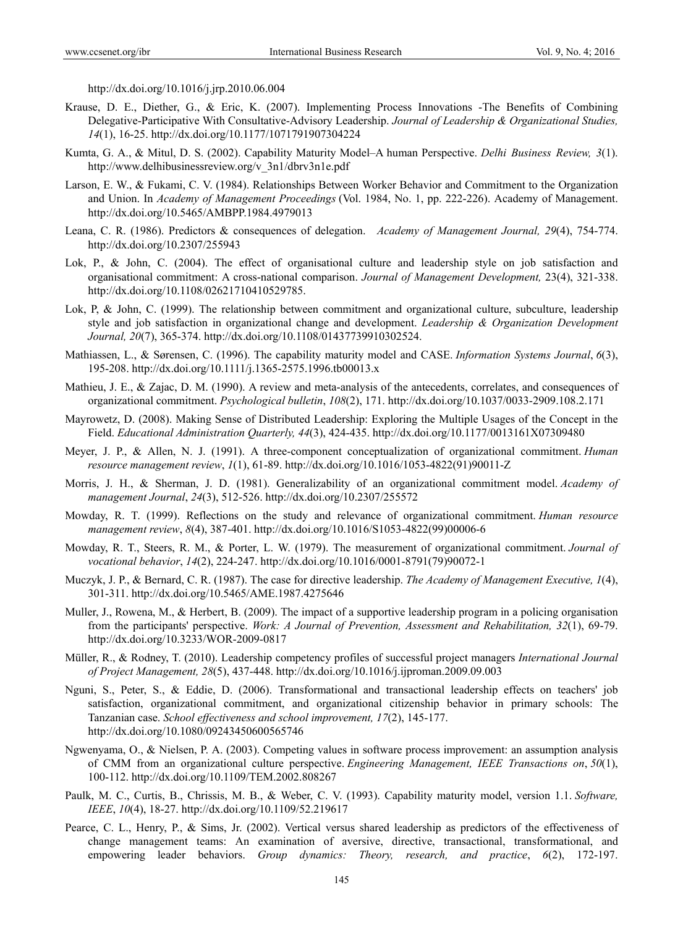http://dx.doi.org/10.1016/j.jrp.2010.06.004

- Krause, D. E., Diether, G., & Eric, K. (2007). Implementing Process Innovations -The Benefits of Combining Delegative-Participative With Consultative-Advisory Leadership. *Journal of Leadership & Organizational Studies, 14*(1), 16-25. http://dx.doi.org/10.1177/1071791907304224
- Kumta, G. A., & Mitul, D. S. (2002). Capability Maturity Model–A human Perspective. *Delhi Business Review, 3*(1). http://www.delhibusinessreview.org/v\_3n1/dbrv3n1e.pdf
- Larson, E. W., & Fukami, C. V. (1984). Relationships Between Worker Behavior and Commitment to the Organization and Union. In *Academy of Management Proceedings* (Vol. 1984, No. 1, pp. 222-226). Academy of Management. http://dx.doi.org/10.5465/AMBPP.1984.4979013
- Leana, C. R. (1986). Predictors & consequences of delegation. *Academy of Management Journal, 29*(4), 754-774. http://dx.doi.org/10.2307/255943
- Lok, P., & John, C. (2004). The effect of organisational culture and leadership style on job satisfaction and organisational commitment: A cross-national comparison. *Journal of Management Development,* 23(4), 321-338. http://dx.doi.org/10.1108/02621710410529785.
- Lok, P, & John, C. (1999). The relationship between commitment and organizational culture, subculture, leadership style and job satisfaction in organizational change and development. *Leadership & Organization Development Journal, 20*(7), 365-374. http://dx.doi.org/10.1108/01437739910302524.
- Mathiassen, L., & Sørensen, C. (1996). The capability maturity model and CASE. *Information Systems Journal*, *6*(3), 195-208. http://dx.doi.org/10.1111/j.1365-2575.1996.tb00013.x
- Mathieu, J. E., & Zajac, D. M. (1990). A review and meta-analysis of the antecedents, correlates, and consequences of organizational commitment. *Psychological bulletin*, *108*(2), 171. http://dx.doi.org/10.1037/0033-2909.108.2.171
- Mayrowetz, D. (2008). Making Sense of Distributed Leadership: Exploring the Multiple Usages of the Concept in the Field. *Educational Administration Quarterly, 44*(3), 424-435. http://dx.doi.org/10.1177/0013161X07309480
- Meyer, J. P., & Allen, N. J. (1991). A three-component conceptualization of organizational commitment. *Human resource management review*, *1*(1), 61-89. http://dx.doi.org/10.1016/1053-4822(91)90011-Z
- Morris, J. H., & Sherman, J. D. (1981). Generalizability of an organizational commitment model. *Academy of management Journal*, *24*(3), 512-526. http://dx.doi.org/10.2307/255572
- Mowday, R. T. (1999). Reflections on the study and relevance of organizational commitment. *Human resource management review*, *8*(4), 387-401. http://dx.doi.org/10.1016/S1053-4822(99)00006-6
- Mowday, R. T., Steers, R. M., & Porter, L. W. (1979). The measurement of organizational commitment. *Journal of vocational behavior*, *14*(2), 224-247. http://dx.doi.org/10.1016/0001-8791(79)90072-1
- Muczyk, J. P., & Bernard, C. R. (1987). The case for directive leadership. *The Academy of Management Executive, 1*(4), 301-311. http://dx.doi.org/10.5465/AME.1987.4275646
- Muller, J., Rowena, M., & Herbert, B. (2009). The impact of a supportive leadership program in a policing organisation from the participants' perspective. *Work: A Journal of Prevention, Assessment and Rehabilitation, 32*(1), 69-79. http://dx.doi.org/10.3233/WOR-2009-0817
- Müller, R., & Rodney, T. (2010). Leadership competency profiles of successful project managers *International Journal of Project Management, 28*(5), 437-448. http://dx.doi.org/10.1016/j.ijproman.2009.09.003
- Nguni, S., Peter, S., & Eddie, D. (2006). Transformational and transactional leadership effects on teachers' job satisfaction, organizational commitment, and organizational citizenship behavior in primary schools: The Tanzanian case. *School effectiveness and school improvement, 17*(2), 145-177. http://dx.doi.org/10.1080/09243450600565746
- Ngwenyama, O., & Nielsen, P. A. (2003). Competing values in software process improvement: an assumption analysis of CMM from an organizational culture perspective. *Engineering Management, IEEE Transactions on*, *50*(1), 100-112. http://dx.doi.org/10.1109/TEM.2002.808267
- Paulk, M. C., Curtis, B., Chrissis, M. B., & Weber, C. V. (1993). Capability maturity model, version 1.1. *Software, IEEE*, *10*(4), 18-27. http://dx.doi.org/10.1109/52.219617
- Pearce, C. L., Henry, P., & Sims, Jr. (2002). Vertical versus shared leadership as predictors of the effectiveness of change management teams: An examination of aversive, directive, transactional, transformational, and empowering leader behaviors. *Group dynamics: Theory, research, and practice*, *6*(2), 172-197.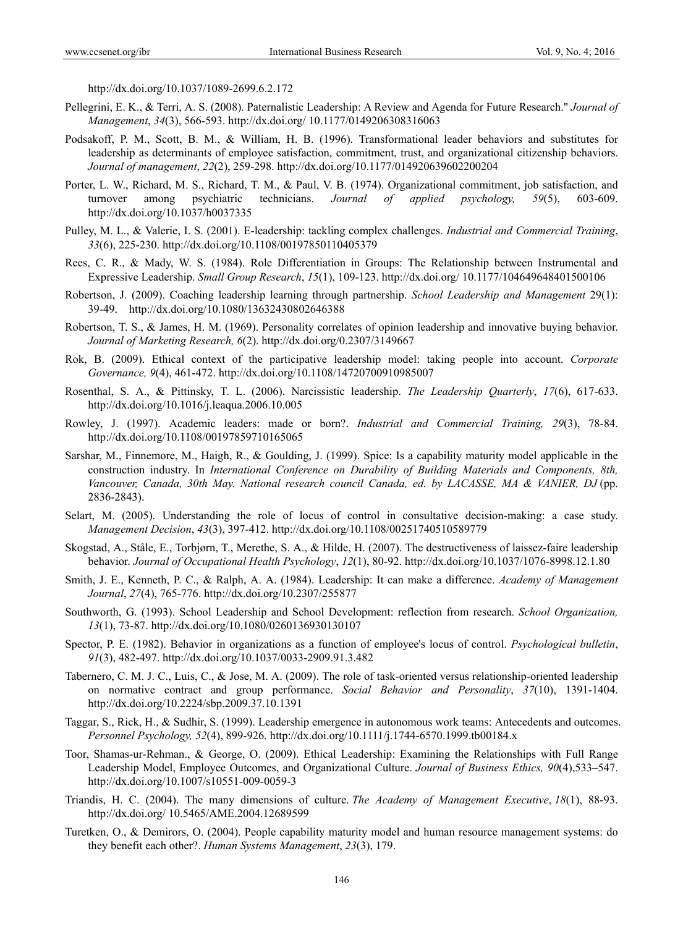http://dx.doi.org/10.1037/1089-2699.6.2.172

- Pellegrini, E. K., & Terri, A. S. (2008). Paternalistic Leadership: A Review and Agenda for Future Research." *Journal of Management*, *34*(3), 566-593. http://dx.doi.org/ 10.1177/0149206308316063
- Podsakoff, P. M., Scott, B. M., & William, H. B. (1996). Transformational leader behaviors and substitutes for leadership as determinants of employee satisfaction, commitment, trust, and organizational citizenship behaviors. *Journal of management*, *22*(2), 259-298. http://dx.doi.org/10.1177/014920639602200204
- Porter, L. W., Richard, M. S., Richard, T. M., & Paul, V. B. (1974). Organizational commitment, job satisfaction, and turnover among psychiatric technicians. *Journal of applied psychology, 59*(5), 603-609. http://dx.doi.org/10.1037/h0037335
- Pulley, M. L., & Valerie, I. S. (2001). E-leadership: tackling complex challenges. *Industrial and Commercial Training*, *33*(6), 225-230. http://dx.doi.org/10.1108/00197850110405379
- Rees, C. R., & Mady, W. S. (1984). Role Differentiation in Groups: The Relationship between Instrumental and Expressive Leadership. *Small Group Research*, *15*(1), 109-123. http://dx.doi.org/ 10.1177/104649648401500106
- Robertson, J. (2009). Coaching leadership learning through partnership. *School Leadership and Management* 29(1): 39-49. http://dx.doi.org/10.1080/13632430802646388
- Robertson, T. S., & James, H. M. (1969). Personality correlates of opinion leadership and innovative buying behavior. *Journal of Marketing Research, 6*(2). http://dx.doi.org/0.2307/3149667
- Rok, B. (2009). Ethical context of the participative leadership model: taking people into account. *Corporate Governance, 9*(4), 461-472. http://dx.doi.org/10.1108/14720700910985007
- Rosenthal, S. A., & Pittinsky, T. L. (2006). Narcissistic leadership. *The Leadership Quarterly*, *17*(6), 617-633. http://dx.doi.org/10.1016/j.leaqua.2006.10.005
- Rowley, J. (1997). Academic leaders: made or born?. *Industrial and Commercial Training, 29*(3), 78-84. http://dx.doi.org/10.1108/00197859710165065
- Sarshar, M., Finnemore, M., Haigh, R., & Goulding, J. (1999). Spice: Is a capability maturity model applicable in the construction industry. In *International Conference on Durability of Building Materials and Components, 8th, Vancouver, Canada, 30th May. National research council Canada, ed. by LACASSE, MA & VANIER, DJ* (pp. 2836-2843).
- Selart, M. (2005). Understanding the role of locus of control in consultative decision-making: a case study. *Management Decision*, *43*(3), 397-412. http://dx.doi.org/10.1108/00251740510589779
- Skogstad, A., Ståle, E., Torbjørn, T., Merethe, S. A., & Hilde, H. (2007). The destructiveness of laissez-faire leadership behavior. *Journal of Occupational Health Psychology*, *12*(1), 80-92. http://dx.doi.org/10.1037/1076-8998.12.1.80
- Smith, J. E., Kenneth, P. C., & Ralph, A. A. (1984). Leadership: It can make a difference. *Academy of Management Journal*, *27*(4), 765-776. http://dx.doi.org/10.2307/255877
- Southworth, G. (1993). School Leadership and School Development: reflection from research. *School Organization, 13*(1), 73-87. http://dx.doi.org/10.1080/0260136930130107
- Spector, P. E. (1982). Behavior in organizations as a function of employee's locus of control. *Psychological bulletin*, *91*(3), 482-497. http://dx.doi.org/10.1037/0033-2909.91.3.482
- Tabernero, C. M. J. C., Luis, C., & Jose, M. A. (2009). The role of task-oriented versus relationship-oriented leadership on normative contract and group performance. *Social Behavior and Personality*, *37*(10), 1391-1404. http://dx.doi.org/10.2224/sbp.2009.37.10.1391
- Taggar, S., Rick, H., & Sudhir, S. (1999). Leadership emergence in autonomous work teams: Antecedents and outcomes. *Personnel Psychology, 52*(4), 899-926. http://dx.doi.org/10.1111/j.1744-6570.1999.tb00184.x
- Toor, Shamas-ur-Rehman., & George, O. (2009). Ethical Leadership: Examining the Relationships with Full Range Leadership Model, Employee Outcomes, and Organizational Culture. *Journal of Business Ethics, 90*(4),533–547. http://dx.doi.org/10.1007/s10551-009-0059-3
- Triandis, H. C. (2004). The many dimensions of culture. *The Academy of Management Executive*, *18*(1), 88-93. http://dx.doi.org/ 10.5465/AME.2004.12689599
- Turetken, O., & Demirors, O. (2004). People capability maturity model and human resource management systems: do they benefit each other?. *Human Systems Management*, *23*(3), 179.